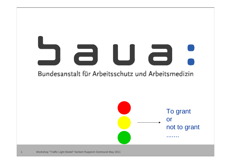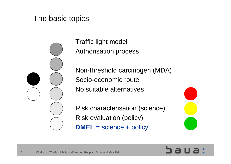#### The basic topics

2

**T**raffic light model Authorisation process

Non-threshold carcinogen (MDA) Socio-economic route No suitable alternatives

Risk characterisation (science) Risk evaluation (policy) **DMEL** = science + policy



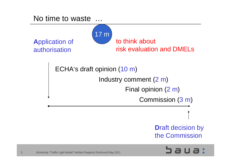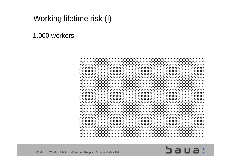# Working lifetime risk (I)

#### 1.000 workers



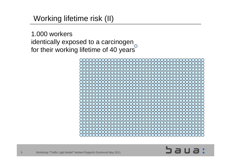# Working lifetime risk (II)

1.000 workers identically exposed to a carcinogen for their working lifetime of 40 years



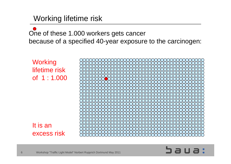Working lifetime risk

One of these 1.000 workers gets cancer because of a specified 40-year exposure to the carcinogen:

**Working** lifetime riskof 1 : 1.000

It is an excess risk



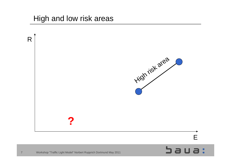#### High and low risk areas

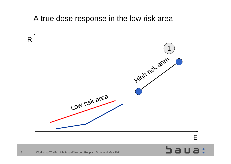#### A true dose response in the low risk area



E

 $3a$ ua: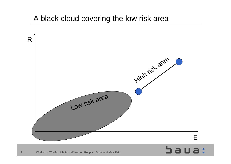## A black cloud covering the low risk area

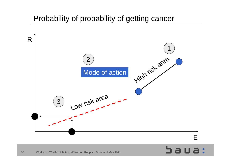### Probability of probability of getting cancer

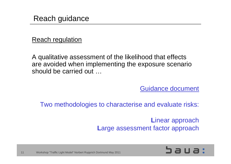#### Reach regulation

A qualitative assessment of the likelihood that effects are avoided when implementing the exposure scenario should be carried out …

Guidance document

Two methodologies to characterise and evaluate risks:

**L**inear approach **L**arge assessment factor approach

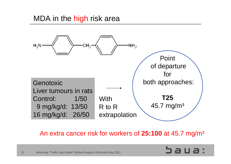#### MDA in the <mark>high</mark> risk area



An extra cancer risk for workers of **25:100** at 45.7 mg/m³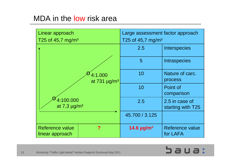### MDA in the low risk area

| Linear approach<br>T25 of 45,7 mg/m <sup>3</sup> | Large assessment factor approach<br>T25 of 45,7 mg/m <sup>3</sup> |                                     |  |
|--------------------------------------------------|-------------------------------------------------------------------|-------------------------------------|--|
|                                                  | 2.5                                                               | <b>Interspecies</b>                 |  |
|                                                  | 5                                                                 | <b>Intraspecies</b>                 |  |
| 4:1.000<br>at $731 \mu g/m^3$                    | 10                                                                | Nature of carc.<br>process          |  |
|                                                  | 10                                                                | Point of<br>comparison              |  |
| 4:100.000<br>at $7.3 \mu g/m^3$                  | 2.5                                                               | 2.5 in case of<br>starting with T25 |  |
|                                                  | 45.700 / 3.125                                                    |                                     |  |
| Reference value<br>?<br>linear approach          | 14.6 $\mu$ g/m <sup>3</sup>                                       | <b>Reference value</b><br>for LAFA  |  |

# sua: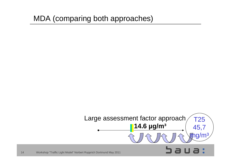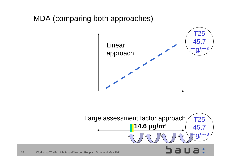

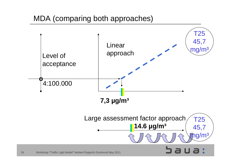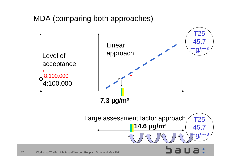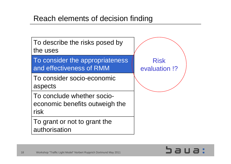### Reach elements of decision finding



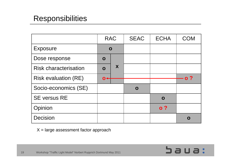# **Responsibilities**

|                              | <b>RAC</b>   |   | <b>SEAC</b> | <b>ECHA</b>    | <b>COM</b> |
|------------------------------|--------------|---|-------------|----------------|------------|
| <b>Exposure</b>              | $\mathbf O$  |   |             |                |            |
| Dose response                | O            |   |             |                |            |
| <b>Risk characterisation</b> | $\mathbf{o}$ | X |             |                |            |
| <b>Risk evaluation (RE)</b>  | $\mathbf{O}$ |   |             |                | o ?        |
| Socio-economics (SE)         |              |   | $\mathbf O$ |                |            |
| <b>SE versus RE</b>          |              |   |             | $\mathbf O$    |            |
| Opinion                      |              |   |             | $\mathbf{o}$ ? |            |
| <b>Decision</b>              |              |   |             |                |            |

 $X = \text{large assessment factor approach}$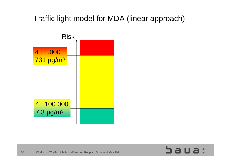# Traffic light model for MDA (linear approach)



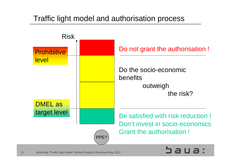# Traffic light model and authorisation process

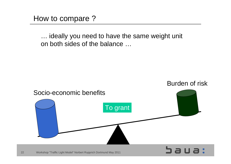How to compare ?

… ideally you need to have the same weight unit on both sides of the balance …